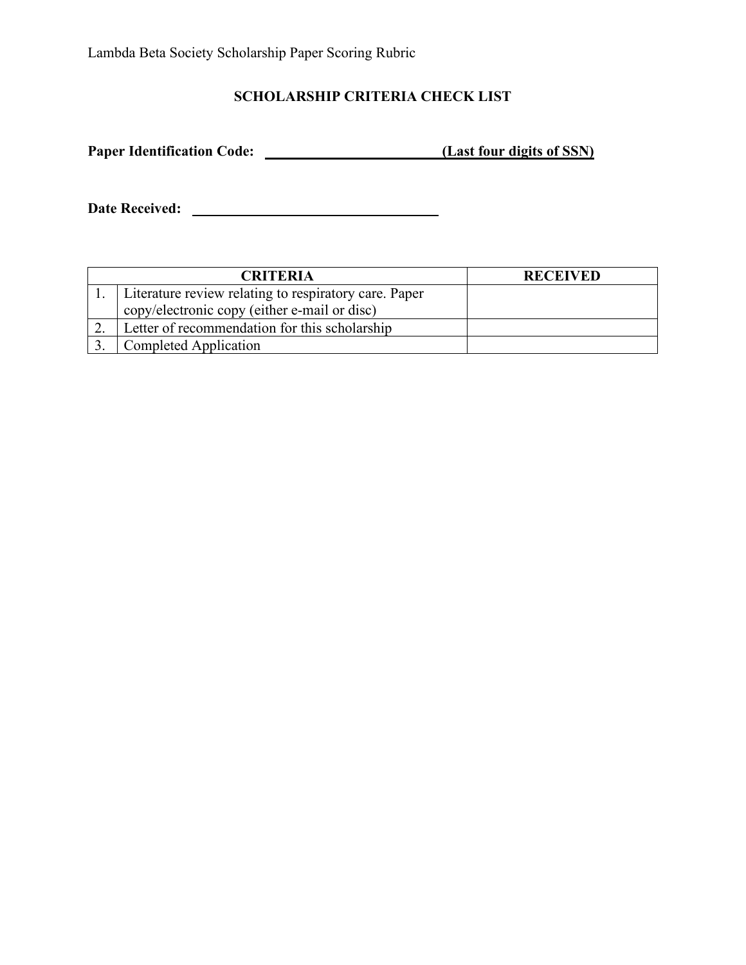Lambda Beta Society Scholarship Paper Scoring Rubric

## **SCHOLARSHIP CRITERIA CHECK LIST**

**Paper Identification Code: (Last four digits of SSN)**

**Date Received:** 

| <b>CRITERIA</b> |                                                       | <b>RECEIVED</b> |
|-----------------|-------------------------------------------------------|-----------------|
|                 | Literature review relating to respiratory care. Paper |                 |
|                 | copy/electronic copy (either e-mail or disc)          |                 |
|                 | Letter of recommendation for this scholarship         |                 |
|                 | Completed Application                                 |                 |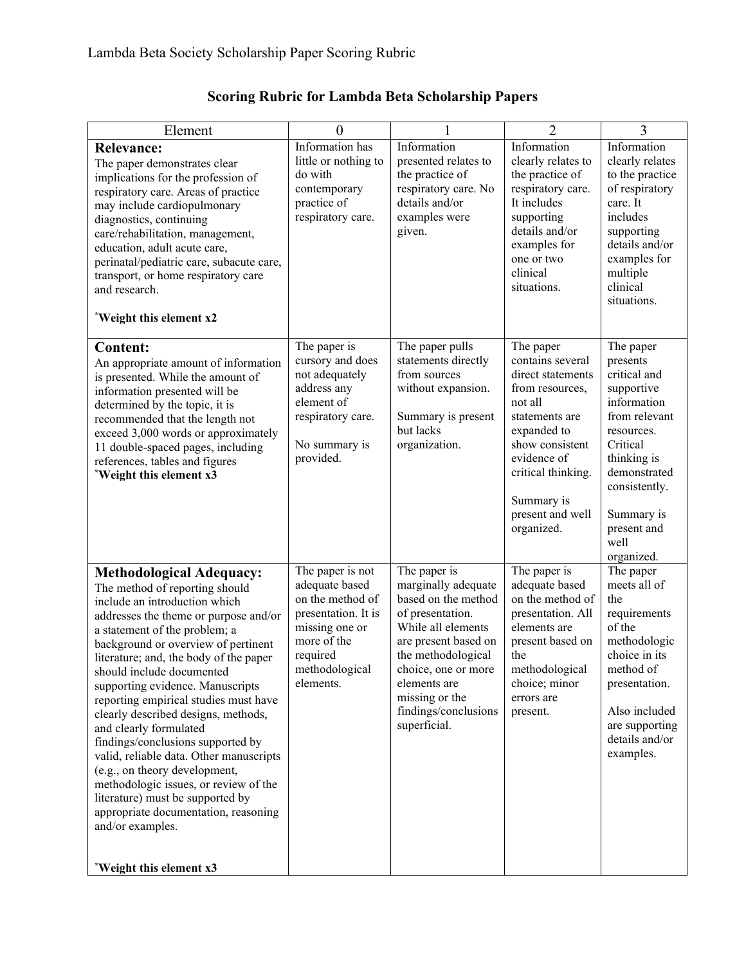| Element                                                                                                                                                                                                                                                                                                                                                                                                                                                                                                                                                                                                                                                                                                                       | $\overline{0}$                                                                                                                                            |                                                                                                                                                                                                                                                     | $\overline{2}$                                                                                                                                                                                                            | $\overline{3}$                                                                                                                                                                                                   |
|-------------------------------------------------------------------------------------------------------------------------------------------------------------------------------------------------------------------------------------------------------------------------------------------------------------------------------------------------------------------------------------------------------------------------------------------------------------------------------------------------------------------------------------------------------------------------------------------------------------------------------------------------------------------------------------------------------------------------------|-----------------------------------------------------------------------------------------------------------------------------------------------------------|-----------------------------------------------------------------------------------------------------------------------------------------------------------------------------------------------------------------------------------------------------|---------------------------------------------------------------------------------------------------------------------------------------------------------------------------------------------------------------------------|------------------------------------------------------------------------------------------------------------------------------------------------------------------------------------------------------------------|
| <b>Relevance:</b><br>The paper demonstrates clear<br>implications for the profession of<br>respiratory care. Areas of practice<br>may include cardiopulmonary<br>diagnostics, continuing<br>care/rehabilitation, management,<br>education, adult acute care,<br>perinatal/pediatric care, subacute care,<br>transport, or home respiratory care<br>and research.<br>*Weight this element x2                                                                                                                                                                                                                                                                                                                                   | Information has<br>little or nothing to<br>do with<br>contemporary<br>practice of<br>respiratory care.                                                    | Information<br>presented relates to<br>the practice of<br>respiratory care. No<br>details and/or<br>examples were<br>given.                                                                                                                         | Information<br>clearly relates to<br>the practice of<br>respiratory care.<br>It includes<br>supporting<br>details and/or<br>examples for<br>one or two<br>clinical<br>situations.                                         | Information<br>clearly relates<br>to the practice<br>of respiratory<br>care. It<br>includes<br>supporting<br>details and/or<br>examples for<br>multiple<br>clinical<br>situations.                               |
| <b>Content:</b><br>An appropriate amount of information<br>is presented. While the amount of<br>information presented will be<br>determined by the topic, it is<br>recommended that the length not<br>exceed 3,000 words or approximately<br>11 double-spaced pages, including<br>references, tables and figures<br>*Weight this element x3                                                                                                                                                                                                                                                                                                                                                                                   | The paper is<br>cursory and does<br>not adequately<br>address any<br>element of<br>respiratory care.<br>No summary is<br>provided.                        | The paper pulls<br>statements directly<br>from sources<br>without expansion.<br>Summary is present<br>but lacks<br>organization.                                                                                                                    | The paper<br>contains several<br>direct statements<br>from resources,<br>not all<br>statements are<br>expanded to<br>show consistent<br>evidence of<br>critical thinking.<br>Summary is<br>present and well<br>organized. | The paper<br>presents<br>critical and<br>supportive<br>information<br>from relevant<br>resources.<br>Critical<br>thinking is<br>demonstrated<br>consistently.<br>Summary is<br>present and<br>well<br>organized. |
| <b>Methodological Adequacy:</b><br>The method of reporting should<br>include an introduction which<br>addresses the theme or purpose and/or<br>a statement of the problem; a<br>background or overview of pertinent<br>literature; and, the body of the paper<br>should include documented<br>supporting evidence. Manuscripts<br>reporting empirical studies must have<br>clearly described designs, methods,<br>and clearly formulated<br>findings/conclusions supported by<br>valid, reliable data. Other manuscripts<br>(e.g., on theory development,<br>methodologic issues, or review of the<br>literature) must be supported by<br>appropriate documentation, reasoning<br>and/or examples.<br>*Weight this element x3 | The paper is not<br>adequate based<br>on the method of<br>presentation. It is<br>missing one or<br>more of the<br>required<br>methodological<br>elements. | The paper is<br>marginally adequate<br>based on the method<br>of presentation.<br>While all elements<br>are present based on<br>the methodological<br>choice, one or more<br>elements are<br>missing or the<br>findings/conclusions<br>superficial. | The paper is<br>adequate based<br>on the method of<br>presentation. All<br>elements are<br>present based on<br>the<br>methodological<br>choice; minor<br>errors are<br>present.                                           | The paper<br>meets all of<br>the<br>requirements<br>of the<br>methodologic<br>choice in its<br>method of<br>presentation.<br>Also included<br>are supporting<br>details and/or<br>examples.                      |

## **Scoring Rubric for Lambda Beta Scholarship Papers**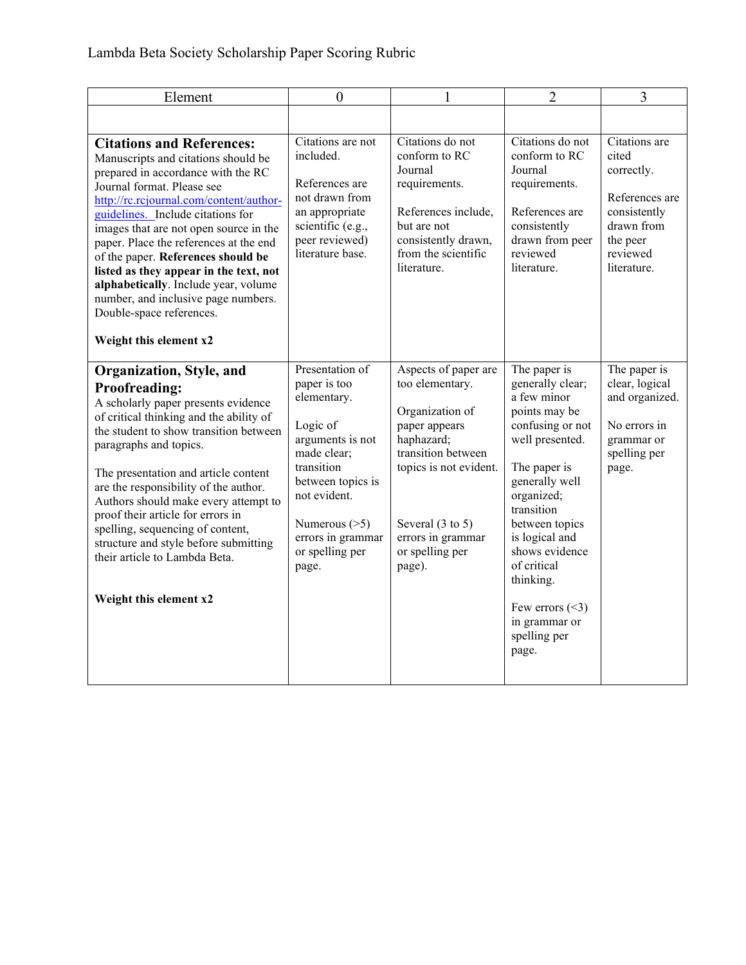| Element                                                                                                                                                                                                                                                                                                                                                                                                                                                                                                                              | $\overline{0}$                                                                                                                                                                                                        |                                                                                                                                                                                                                            | $\overline{2}$                                                                                                                                                                                                                                                                                                             | 3                                                                                                                           |
|--------------------------------------------------------------------------------------------------------------------------------------------------------------------------------------------------------------------------------------------------------------------------------------------------------------------------------------------------------------------------------------------------------------------------------------------------------------------------------------------------------------------------------------|-----------------------------------------------------------------------------------------------------------------------------------------------------------------------------------------------------------------------|----------------------------------------------------------------------------------------------------------------------------------------------------------------------------------------------------------------------------|----------------------------------------------------------------------------------------------------------------------------------------------------------------------------------------------------------------------------------------------------------------------------------------------------------------------------|-----------------------------------------------------------------------------------------------------------------------------|
| <b>Citations and References:</b><br>Manuscripts and citations should be<br>prepared in accordance with the RC<br>Journal format. Please see<br>http://rc.rcjournal.com/content/author-<br>guidelines. Include citations for<br>images that are not open source in the<br>paper. Place the references at the end<br>of the paper. References should be<br>listed as they appear in the text, not<br>alphabetically. Include year, volume<br>number, and inclusive page numbers.<br>Double-space references.<br>Weight this element x2 | Citations are not<br>included.<br>References are<br>not drawn from<br>an appropriate<br>scientific (e.g.,<br>peer reviewed)<br>literature base.                                                                       | Citations do not<br>conform to RC<br>Journal<br>requirements.<br>References include,<br>but are not<br>consistently drawn,<br>from the scientific<br>literature.                                                           | Citations do not<br>conform to RC<br>Journal<br>requirements.<br>References are<br>consistently<br>drawn from peer<br>reviewed<br>literature.                                                                                                                                                                              | Citations are<br>cited<br>correctly.<br>References are<br>consistently<br>drawn from<br>the peer<br>reviewed<br>literature. |
| Organization, Style, and<br><b>Proofreading:</b><br>A scholarly paper presents evidence<br>of critical thinking and the ability of<br>the student to show transition between<br>paragraphs and topics.<br>The presentation and article content<br>are the responsibility of the author.<br>Authors should make every attempt to<br>proof their article for errors in<br>spelling, sequencing of content,<br>structure and style before submitting<br>their article to Lambda Beta.<br>Weight this element x2                         | Presentation of<br>paper is too<br>elementary.<br>Logic of<br>arguments is not<br>made clear;<br>transition<br>between topics is<br>not evident.<br>Numerous $(>=5)$<br>errors in grammar<br>or spelling per<br>page. | Aspects of paper are<br>too elementary.<br>Organization of<br>paper appears<br>haphazard;<br>transition between<br>topics is not evident.<br>Several $(3 \text{ to } 5)$<br>errors in grammar<br>or spelling per<br>page). | The paper is<br>generally clear;<br>a few minor<br>points may be<br>confusing or not<br>well presented.<br>The paper is<br>generally well<br>organized;<br>transition<br>between topics<br>is logical and<br>shows evidence<br>of critical<br>thinking.<br>Few errors $(\leq 3)$<br>in grammar or<br>spelling per<br>page. | The paper is<br>clear, logical<br>and organized.<br>No errors in<br>grammar or<br>spelling per<br>page.                     |